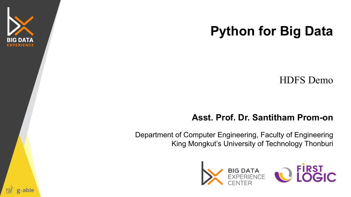

#### **Python for Big Data**

HDFS Demo

#### **Asst. Prof. Dr. Santitham Prom-on**

Department of Computer Engineering, Faculty of Engineering King Mongkut's University of Technology Thonburi





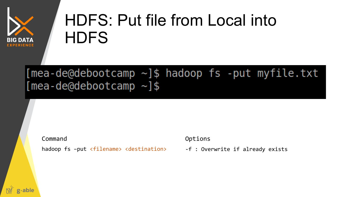

### HDFS: Put file from Local into **HDFS**

#### $[mean-de@debootcamp ~]$ \$ hadoop fs -put myfile.txt  $[mean-deQdebootcamp ~]$ \$

Command Command Command Command Command Command Command Communications of the Communications of the Communications of the Communications of the Communications of the Communications of the Communications of the Communicatio

hadoop fs -put <filename> <destination>

-f : Overwrite if already exists

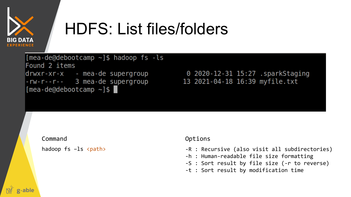

## HDFS: List files/folders

 $[mea-de@debootcamp ~]$ \$ hadoop fs -ls Found 2 items drwxr-xr-x - mea-de supergroup -rw-r--r-- 3 mea-de supergroup  $[mea-de@debootcamp ~]$ \$

0 2020-12-31 15:27 .sparkStaging 13 2021-04-18 16:39 myfile.txt

Command Command Command Command Command Command Command Communications of the Communications of the Communications of the Communications of the Communications of the Communications of the Communications of the Communicatio

hadoop  $fs$  -ls  $\langle paths \rangle$ 

- -R : Recursive (also visit all subdirectories)
- -h : Human-readable file size formatting
- -S : Sort result by file size (-r to reverse)
- -t : Sort result by modification time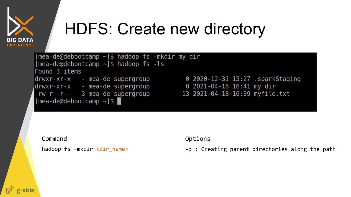

## HDFS: Create new directory

 $[$ mea-de@debootcamp ~]\$ hadoop fs -mkdir my dir  $[mea-de@debootcamp ~]$ \$ hadoop fs -ls Found 3 items drwxr-xr-x - mea-de supergroup  $-rw-r--r--$  3 mea-de supergroup 13 2021-04-18 16:39 my $\overline{file}.txt$  $[mea-de@debootcamp ~]$ \$

0 2020-12-31 15:27 .sparkStaging

Command Command Command Command Command Command Command Communications of the Communications of the Communications of the Communications of the Communications of the Communications of the Communications of the Communicatio

hadoop fs –mkdir <dir\_name>

-p : Creating parent directories along the path

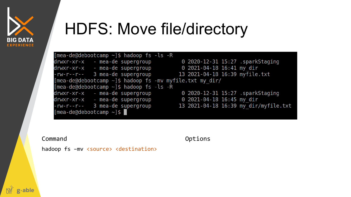

g<sub>^able</sub>

#### **HDFS: Move file/directory**

| $[mea-de@debootcamp ~]$ \$ hadoop fs -ls -R                    |                                       |  |  |  |  |  |  |
|----------------------------------------------------------------|---------------------------------------|--|--|--|--|--|--|
| drwxr-xr-x - mea-de supergroup                                 | 0 2020-12-31 15:27 .sparkStaging      |  |  |  |  |  |  |
| drwxr-xr-x - mea-de supergroup                                 | 0 2021-04-18 16:41 my dir             |  |  |  |  |  |  |
| $-rw-r--r--$ 3 mea-de supergroup                               | 13 2021-04-18 16:39 myfile.txt        |  |  |  |  |  |  |
| [mea-de@debootcamp $\sim$ ]\$ hadoop fs -mv myfile.txt my dir/ |                                       |  |  |  |  |  |  |
| $[mea-de@debootcamp \sim ]$ \$ hadoop fs -ls -R                |                                       |  |  |  |  |  |  |
| drwxr-xr-x - mea-de supergroup                                 | 0 2020-12-31 15:27 .sparkStaging      |  |  |  |  |  |  |
| drwxr-xr-x - mea-de supergroup                                 | 0 2021-04-18 16:45 my dir             |  |  |  |  |  |  |
| $-rw - r - r - 3 mea-de supergroup$                            | 13 2021-04-18 16:39 my dir/myfile.txt |  |  |  |  |  |  |
| $[mea-de@debootcamp \sim ]\$                                   |                                       |  |  |  |  |  |  |

Command

Options

hadoop fs -mv <source> <destination>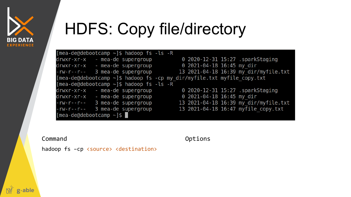

g<sub>^</sub>able

## **HDFS: Copy file/directory**

| [mea-de@debootcamp $\sim$ ]\$ hadoop fs -ls -R |                                                                               |
|------------------------------------------------|-------------------------------------------------------------------------------|
| drwxr-xr-x - mea-de supergroup                 | 0 2020-12-31 15:27 .sparkStaging                                              |
| drwxr-xr-x - mea-de supergroup                 | $0$ 2021-04-18 16:45 my dir                                                   |
| $-rw-r--r--$ 3 mea-de supergroup               | 13 2021-04-18 16:39 my dir/myfile.txt                                         |
|                                                | [mea-de@debootcamp $\sim$ ]\$ hadoop fs -cp my dir/myfile.txt myfile copy.txt |
| [mea-de@debootcamp $\sim$ ]\$ hadoop fs -ls -R |                                                                               |
| drwxr-xr-x - mea-de supergroup                 | 0 2020-12-31 15:27 .sparkStaging                                              |
| drwxr-xr-x - mea-de supergroup                 | $0$ 2021-04-18 16:45 my dir                                                   |
| $-rw-r--r--$ 3 mea-de supergroup               | 13 2021-04-18 16:39 my dir/myfile.txt                                         |
| 3 mea-de supergroup<br>$- rW - r - r -$        | 13 2021-04-18 16:47 myfile copy.txt                                           |
| $[mea-de@debootcamp ~]$ \$                     |                                                                               |

Command

Options

hadoop fs -cp <source> <destination>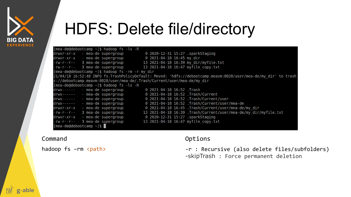

**Aable** 

#### HDFS: Delete file/directory

| $[mea-de@debootcamp ~]$ \$ hadoop fs -ls -R                             |                                                                                                                 |
|-------------------------------------------------------------------------|-----------------------------------------------------------------------------------------------------------------|
| drwxr-xr-x   - mea-de supergroup                                        | 0 2020-12-31 15:27 .sparkStaging                                                                                |
| drwxr-xr-x - mea-de supergroup                                          | 0 2021-04-18 16:45 my dir                                                                                       |
| -rw-r--r-- 3 mea-de supergroup 13 2021-04-18 16:39 my dir/myfile.txt    |                                                                                                                 |
| -rw-r--r-- 3 mea-de supergroup                                          | 13 2021-04-18 16:47 myfile copy.txt                                                                             |
| $[mea-de@debootcamp ~]$ \$ hadoop fs - rm - r my dir                    |                                                                                                                 |
|                                                                         | 21/04/18 16:52:48 INFO fs.TrashPolicyDefault: Moved: 'hdfs://debootcamp.meavm:8020/user/mea-de/my dir' to trash |
| s://debootcamp.meavm:8020/user/mea-de/.Trash/Current/user/mea-de/my dir |                                                                                                                 |
| $[mea-de@debootcamp ~]$ \$ hadoop fs -ls -R                             |                                                                                                                 |
| drwx------ - mea-de supergroup                                          | 0 2021-04-18 16:52 .Trash                                                                                       |
| drwx------ - mea-de supergroup                                          | 0 2021-04-18 16:52 .Trash/Current                                                                               |
| drwx------ - mea-de supergroup                                          | 0 2021-04-18 16:52 .Trash/Current/user                                                                          |
| drwx------ - mea-de supergroup                                          | 0 2021-04-18 16:52 .Trash/Current/user/mea-de                                                                   |
| drwxr-xr-x - mea-de supergroup                                          | 0 2021-04-18 16:45 .Trash/Current/user/mea-de/my dir                                                            |
| $-rw-r--r--$ 3 mea-de supergroup                                        | 13 2021-04-18 16:39 .Trash/Current/user/mea-de/my dir/myfile.txt                                                |
| drwxr-xr-x - mea-de supergroup                                          | 0 2020-12-31 15:27 .sparkStaging                                                                                |
| -rw-r--r-- 3 mea-de supergroup                                          | 13 2021-04-18 16:47 myfile copy.txt                                                                             |

 $[mea-de@debootcamp ~]$ \$

hadoop fs -rm <path>

#### Command Command Command Command Command Command Command Command Command Command Command Command Command Command Command Command Command Command Command Command Command Command Command Command Command Command Command Comman

-r : Recursive (also delete files/subfolders) -skipTrash : Force permanent deletion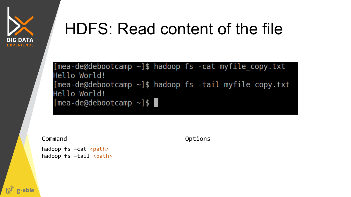

#### HDFS: Read content of the file

[mea-de@debootcamp  $\sim$ ]\$ hadoop fs -cat myfile copy.txt Hello World!  $[mea-de@debootcamp ~]$ \$ hadoop fs -tail myfile copy.txt Hello World!  $[mea-de@debootcamp ~]$ \$

hadoop  $fs$  –cat  $\langle paths \rangle$ hadoop  $fs$  -tail  $\langle paths \rangle$ 

Command Command Command Command Command Command Command Communications of the Communications of the Communications of the Communications of the Communications of the Communications of the Communications of the Communicatio

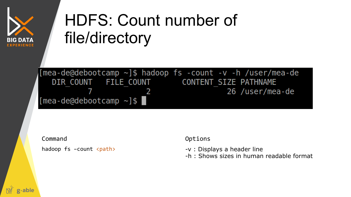

## HDFS: Count number of file/directory

[mea-de@debootcamp  $\sim$ ]\$ hadoop fs -count -v -h /user/mea-de DIR COUNT FILE COUNT CONTENT SIZE PATHNAME 26 /user/mea-de  $[mea-de@debootcamp ~]$ \$

Command Command Command Command Command Command Command Command Command Command Command Command Command Command Command Command Command Command Command Command Command Command Command Command Command Command Command Comman

hadoop  $fs$  –count  $\langle paths \rangle$ 

-v : Displays a header line

-h : Shows sizes in human readable format

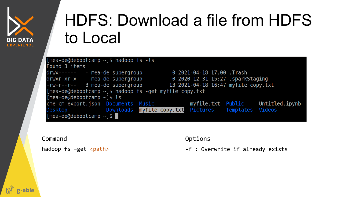

# HDFS: Download a file from HDFS to Local

| $[mea-de@debootcamp \sim ]$ \$ hadoop fs -ls                                         |  |  |  |                            |                                     |  |  |  |
|--------------------------------------------------------------------------------------|--|--|--|----------------------------|-------------------------------------|--|--|--|
| Found 3 items                                                                        |  |  |  |                            |                                     |  |  |  |
| drwx------ - mea-de supergroup                                                       |  |  |  | 0 2021-04-18 17:00 . Trash |                                     |  |  |  |
| drwxr-xr-x - mea-de supergroup                                                       |  |  |  |                            | 0 2020-12-31 15:27 .sparkStaging    |  |  |  |
| $-rw-r--r--$ 3 mea-de supergroup                                                     |  |  |  |                            | 13 2021-04-18 16:47 myfile copy.txt |  |  |  |
| [mea-de@debootcamp $\sim$ ]\$ hadoop fs -get myfile copy.txt                         |  |  |  |                            |                                     |  |  |  |
| $[mea-dedebootcamp ~]$ \$ ls                                                         |  |  |  |                            |                                     |  |  |  |
| cme-cm-export.json Documents Music <b>notimally myfile.txt Public</b> Untitled.ipynb |  |  |  |                            |                                     |  |  |  |
| Desktop <b>bownloads</b> myfile copy.txt Pictures Templates Videos                   |  |  |  |                            |                                     |  |  |  |
| $[mea-de@debootcam] \sim ]$ \$                                                       |  |  |  |                            |                                     |  |  |  |
|                                                                                      |  |  |  |                            |                                     |  |  |  |

Command Command Command Command Command Command Command Command Command Command Command Command Command Command Command Command Command Command Command Command Command Command Command Command Command Command Command Comman

hadoop fs -get <path>

-f : Overwrite if already exists